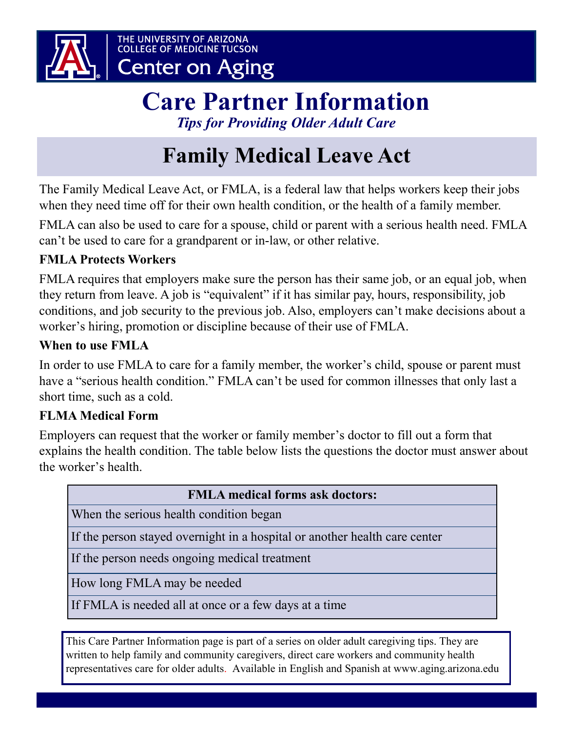

### **Care Partner Information** *Tips for Providing Older Adult Care*

# **Family Medical Leave Act**

The Family Medical Leave Act, or FMLA, is a federal law that helps workers keep their jobs when they need time off for their own health condition, or the health of a family member.

FMLA can also be used to care for a spouse, child or parent with a serious health need. FMLA can't be used to care for a grandparent or in-law, or other relative.

### **FMLA Protects Workers**

FMLA requires that employers make sure the person has their same job, or an equal job, when they return from leave. A job is "equivalent" if it has similar pay, hours, responsibility, job conditions, and job security to the previous job. Also, employers can't make decisions about a worker's hiring, promotion or discipline because of their use of FMLA.

### **When to use FMLA**

In order to use FMLA to care for a family member, the worker's child, spouse or parent must have a "serious health condition." FMLA can't be used for common illnesses that only last a short time, such as a cold.

### **FLMA Medical Form**

Employers can request that the worker or family member's doctor to fill out a form that explains the health condition. The table below lists the questions the doctor must answer about the worker's health.

| <b>FMLA</b> medical forms ask doctors:                                     |
|----------------------------------------------------------------------------|
| When the serious health condition began                                    |
| If the person stayed overnight in a hospital or another health care center |
| If the person needs ongoing medical treatment                              |
| How long FMLA may be needed                                                |
| If FMLA is needed all at once or a few days at a time                      |
|                                                                            |

This Care Partner Information page is part of a series on older adult caregiving tips. They are written to help family and community caregivers, direct care workers and community health representatives care for older adults. Available in English and Spanish at www.aging.arizona.edu